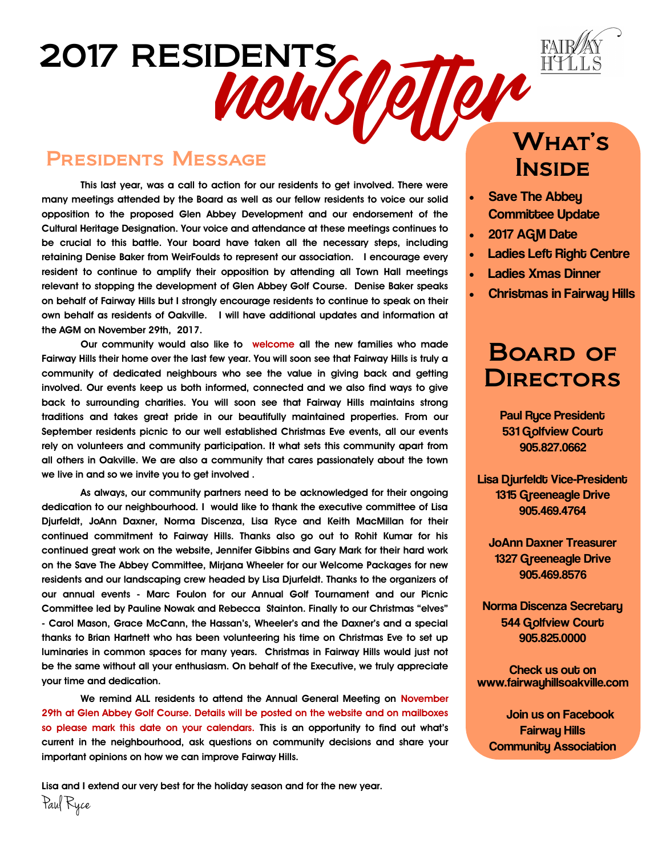

### Presidents Message

2017 RESIDENTS

**This last year, was a call to action for our residents to get involved. There were many meetings attended by the Board as well as our fellow residents to voice our solid opposition to the proposed Glen Abbey Development and our endorsement of the Cultural Heritage Designation. Your voice and attendance at these meetings continues to be crucial to this battle. Your board have taken all the necessary steps, including retaining Denise Baker from WeirFoulds to represent our association. I encourage every resident to continue to amplify their opposition by attending all Town Hall meetings relevant to stopping the development of Glen Abbey Golf Course. Denise Baker speaks on behalf of Fairway Hills but I strongly encourage residents to continue to speak on their own behalf as residents of Oakville. I will have additional updates and information at the AGM on November 29th, 2017.**

**Our community would also like to welcome all the new families who made Fairway Hills their home over the last few year. You will soon see that Fairway Hills is truly a community of dedicated neighbours who see the value in giving back and getting involved. Our events keep us both informed, connected and we also find ways to give back to surrounding charities. You will soon see that Fairway Hills maintains strong traditions and takes great pride in our beautifully maintained properties. From our September residents picnic to our well established Christmas Eve events, all our events rely on volunteers and community participation. It what sets this community apart from all others in Oakville. We are also a community that cares passionately about the town we live in and so we invite you to get involved .** 

**As always, our community partners need to be acknowledged for their ongoing dedication to our neighbourhood. I would like to thank the executive committee of Lisa Djurfeldt, JoAnn Daxner, Norma Discenza, Lisa Ryce and Keith MacMillan for their continued commitment to Fairway Hills. Thanks also go out to Rohit Kumar for his continued great work on the website, Jennifer Gibbins and Gary Mark for their hard work on the Save The Abbey Committee, Mirjana Wheeler for our Welcome Packages for new residents and our landscaping crew headed by Lisa Djurfeldt. Thanks to the organizers of our annual events - Marc Foulon for our Annual Golf Tournament and our Picnic Committee led by Pauline Nowak and Rebecca Stainton. Finally to our Christmas "elves" - Carol Mason, Grace McCann, the Hassan's, Wheeler's and the Daxner's and a special thanks to Brian Hartnett who has been volunteering his time on Christmas Eve to set up luminaries in common spaces for many years. Christmas in Fairway Hills would just not be the same without all your enthusiasm. On behalf of the Executive, we truly appreciate your time and dedication.** 

**We remind ALL residents to attend the Annual General Meeting on November 29th at Glen Abbey Golf Course. Details will be posted on the website and on mailboxes so please mark this date on your calendars. This is an opportunity to find out what's current in the neighbourhood, ask questions on community decisions and share your important opinions on how we can improve Fairway Hills.** 

**Lisa and I extend our very best for the holiday season and for the new year.** 

WOWSPOILOR **INSIDE** 

- Save The Abbey Committee Update
- 2017 AGM Date
- Ladies Left Right Centre
- Ladies Xmas Dinner
- Christmas in Fairway Hills

### Board of **DIRECTORS**

 Paul Ryce President 531 Golfview Court 905.827.0662

Lisa Djurfeldt Vice-President 1315 Greeneagle Drive 905.469.4764

JoAnn Daxner Treasurer 1327 Greeneagle Drive 905.469.8576

**Norma Discenza Secretary** 544 Golfview Court 905.825.0000

Check us out on www.fairwayhillsoakville.com

 Join us on Facebook Fairway Hills Community Association

Paul Ryce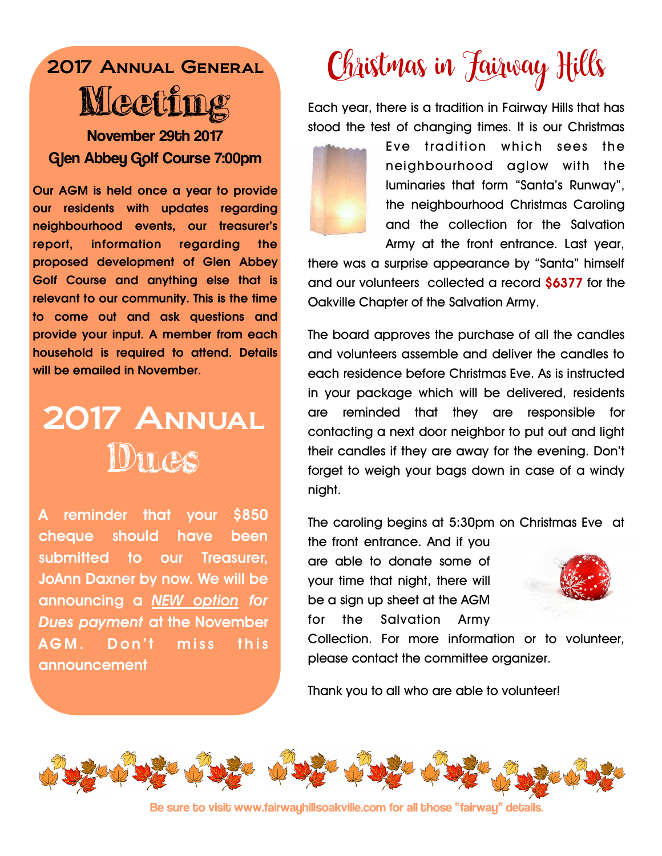### 2017 Annual General **Meeti** November 29th 2017

Glen Abbey Golf Course 7:00pm

**Our AGM is held once a year to provide our residents with updates regarding neighbourhood events, our treasurer's report, information regarding the proposed development of Glen Abbey Golf Course and anything else that is relevant to our community. This is the time to come out and ask questions and provide your input. A member from each household is required to attend. Details will be emailed in November.** 

## 2017 Annual **Ducs**

**A reminder that your \$850 cheque should have been submitted to our Treasurer, JoAnn Daxner by now. We will be announcing a** *NEW option for Dues payment* **at the November**  AGM. Don't miss this **announcement!** 

# Christmas in Jairway Hills

Each year, there is a tradition in Fairway Hills that has stood the test of changing times. It is our Christmas



Eve tradition which sees the neighbourhood aglow with the luminaries that form "Santa's Runway", the neighbourhood Christmas Caroling and the collection for the Salvation Army at the front entrance. Last year,

there was a surprise appearance by "Santa" himself and our volunteers collected a record \$6377 for the Oakville Chapter of the Salvation Army.

The board approves the purchase of all the candles and volunteers assemble and deliver the candles to each residence before Christmas Eve. As is instructed in your package which will be delivered, residents are reminded that they are responsible for contacting a next door neighbor to put out and light their candles if they are away for the evening. Don't forget to weigh your bags down in case of a windy night.

The caroling begins at 5:30pm on Christmas Eve at

the front entrance. And if you are able to donate some of your time that night, there will be a sign up sheet at the AGM for the Salvation Army



Collection. For more information or to volunteer, please contact the committee organizer.

Thank you to all who are able to volunteer!



Be sure to visit www.fairwayhillsoakville.com for all those "fairway" details.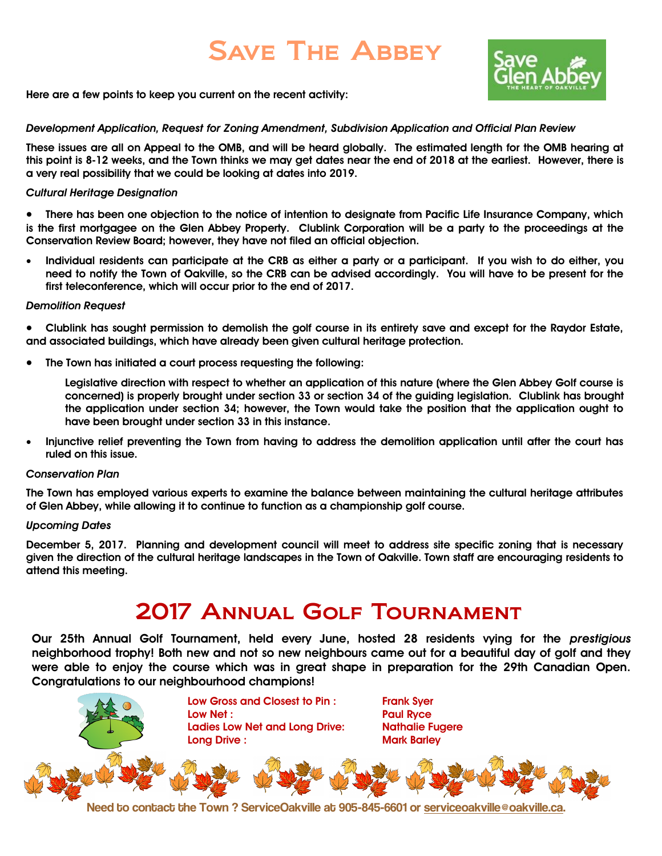## Save The Abbey



**Here are a few points to keep you current on the recent activity:** 

#### *Development Application, Request for Zoning Amendment, Subdivision Application and Official Plan Review*

**These issues are all on Appeal to the OMB, and will be heard globally. The estimated length for the OMB hearing at this point is 8-12 weeks, and the Town thinks we may get dates near the end of 2018 at the earliest. However, there is a very real possibility that we could be looking at dates into 2019.**

#### *Cultural Heritage Designation*

 **There has been one objection to the notice of intention to designate from Pacific Life Insurance Company, which is the first mortgagee on the Glen Abbey Property. Clublink Corporation will be a party to the proceedings at the Conservation Review Board; however, they have not filed an official objection.**

 **Individual residents can participate at the CRB as either a party or a participant. If you wish to do either, you need to notify the Town of Oakville, so the CRB can be advised accordingly. You will have to be present for the first teleconference, which will occur prior to the end of 2017.**

#### *Demolition Request*

- **Clublink has sought permission to demolish the golf course in its entirety save and except for the Raydor Estate, and associated buildings, which have already been given cultural heritage protection.**
- **The Town has initiated a court process requesting the following:**

**Legislative direction with respect to whether an application of this nature (where the Glen Abbey Golf course is concerned) is properly brought under section 33 or section 34 of the guiding legislation. Clublink has brought the application under section 34; however, the Town would take the position that the application ought to have been brought under section 33 in this instance.**

 **Injunctive relief preventing the Town from having to address the demolition application until after the court has ruled on this issue.**

#### *Conservation Plan*

**The Town has employed various experts to examine the balance between maintaining the cultural heritage attributes of Glen Abbey, while allowing it to continue to function as a championship golf course.**

#### *Upcoming Dates*

**December 5, 2017. Planning and development council will meet to address site specific zoning that is necessary given the direction of the cultural heritage landscapes in the Town of Oakville. Town staff are encouraging residents to attend this meeting.** 

### 2017 Annual Golf Tournament

**Our 25th Annual Golf Tournament, held every June, hosted 28 residents vying for the** *prestigious* **neighborhood trophy! Both new and not so new neighbours came out for a beautiful day of golf and they were able to enjoy the course which was in great shape in preparation for the 29th Canadian Open. Congratulations to our neighbourhood champions!** 



Need to contact the Town ? ServiceOakville at 905-845-6601 or [serviceoakville@oakville.ca.](mailto:serviceoakville@oakville.ca)